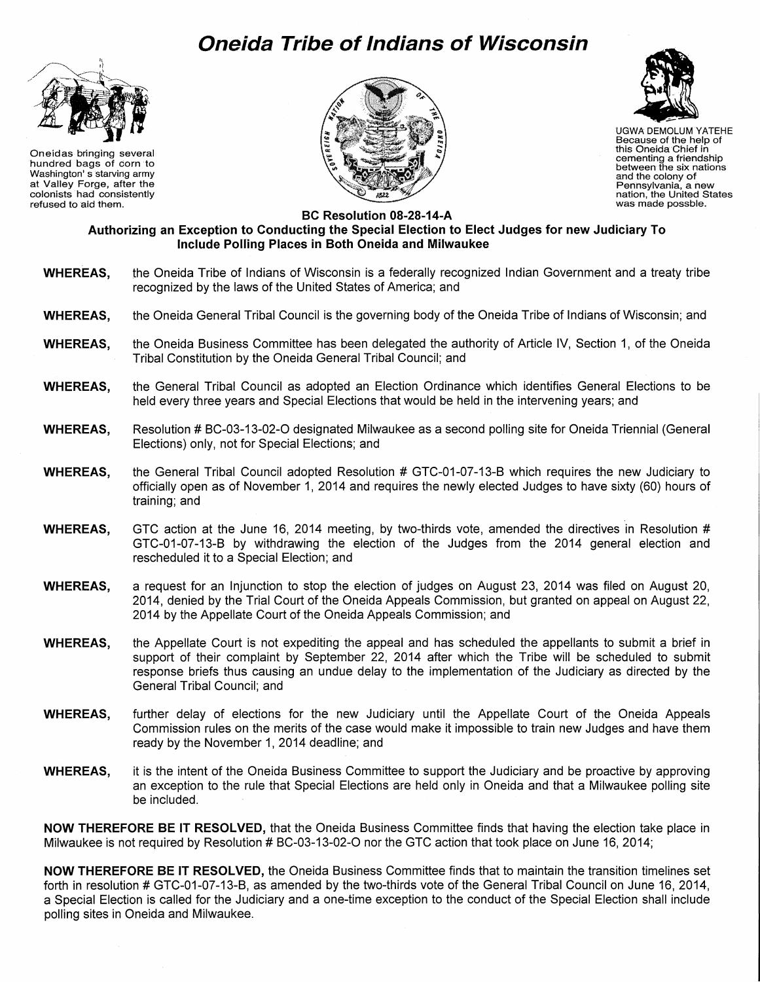## **Oneida Tribe of Indians of Wisconsin**



Oneidas bringing several hundred bags of corn to Washington' s starving army at Valley Forge, after the colonists had consistently refused to aid them.





UGWA DEMOLUM YATEHE The Manual DEMOLUM YA<br>Because of the help<br>this Oneida Chief in Because of the help of cementing a friendship between the six nations and the colony of Pennsylvania, a new nation, the United States was- made possble.

**BC Resolution 08-28-14-A** 

## **Authorizing an Exception to Conducting the Special Election to Elect Judges for new Judiciary To Include Polling Places in Both Oneida and Milwaukee**

- **WHEREAS,** the Oneida Tribe of Indians of Wisconsin is a federally recognized Indian Government and a treaty tribe recognized by the laws of the United States of America; and
- **WHEREAS,** the Oneida General Tribal Council is the governing body of the Oneida Tribe of Indians of Wisconsin; and
- **WHEREAS,** the Oneida Business Committee has been delegated the authority of Article IV, Section 1, of the Oneida Tribal Constitution by the Oneida General Tribal Council; and
- **WHEREAS,** the General Tribal Council as adopted an Election Ordinance which identifies General Elections to be held every three years and Special Elections that would be held in the intervening years; and
- **WHEREAS,** Resolution# BC-03-13-02-0 designated Milwaukee as a second polling site for Oneida Triennial (General Elections) only, not for Special Elections; and
- **WHEREAS,** the General Tribal Council adopted Resolution # GTC-01-07-13-B which requires the new Judiciary to officially open as of November 1, 2014 and requires the newly elected Judges to have sixty (60) hours of training; and
- **WHEREAS,** GTC action at the June 16, 2014 meeting, by two-thirds vote, amended the directives in Resolution # GTC-01-07-13-B by withdrawing the election of the Judges from the 2014 general election and rescheduled it to a Special Election; and
- **WHEREAS,** a request for an Injunction to stop the election of judges on August 23, 2014 was filed on August 20, 2014, denied by the Trial Court of the Oneida Appeals Commission, but granted on appeal on August 22, 2014 by the Appellate Court of the Oneida Appeals Commission; and
- **WHEREAS,** the Appellate Court is not expediting the appeal and has scheduled the appellants to submit a brief in support of their complaint by September 22, 2014 after which the Tribe will be scheduled to submit response briefs thus causing an undue delay to the implementation of the Judiciary as directed by the General Tribal Council; and
- **WHEREAS,** further delay of elections for the new Judiciary until the Appellate Court of the Oneida Appeals Commission rules on the merits of the case would make it impossible to train new Judges and have them ready by the November 1, 2014 deadline; and
- **WHEREAS,** it is the intent of the Oneida Business Committee to support the Judiciary and be proactive by approving an exception to the rule that Special Elections are held only in Oneida and that a Milwaukee polling site be included.

**NOW THEREFORE BE IT RESOLVED,** that the Oneida Business Committee finds that having the election take place in Milwaukee is not required by Resolution # BC-03-13-02-O nor the GTC action that took place on June 16, 2014;

**NOW THEREFORE BE IT RESOLVED,** the Oneida Business Committee finds that to maintain the transition timelines set forth in resolution # GTC-01-07-13-B, as amended by the two-thirds vote of the General Tribal Council on June 16, 2014, a Special Election is called for the Judiciary and a one-time exception to the conduct of the Special Election shall include polling sites in Oneida and Milwaukee.